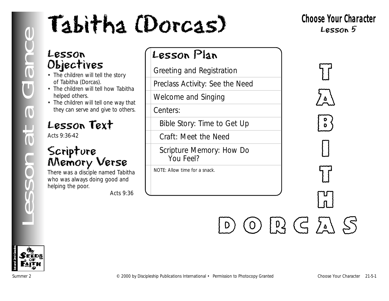### Lesson Objectives

- The children will tell the story of Tabitha (Dorcas).
- The children will tell how Tabitha helped others.
- The children will tell one way that they can serve and give to others.

### Lesson Text

Acts 9:36-42

### Scripture Memory Verse

There was a disciple named Tabitha who was always doing good and helping the poor.

*Acts 9:36*



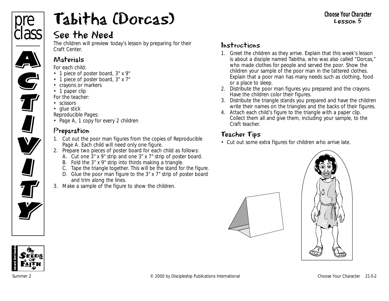

### See the Need

The children will preview today's lesson by preparing for their Craft Center.

#### Materials

*For each child:*

- 1 piece of poster board, 3" x 9"
- 1 piece of poster board, 3" x 7"
- crayons or markers
- 1 paper clip

*For the teacher:*

- scissors
- glue stick

*Reproducible Pages:*

• Page A, 1 copy for every 2 children

### Preparation

- 1. Cut out the poor man figures from the copies of Reproducible Page A. Each child will need only one figure.
- 2. Prepare two pieces of poster board for each child as follows:
	- A. Cut one 3" x 9" strip and one 3" x 7" strip of poster board.
	- B. Fold the 3" x 9" strip into thirds making a triangle.
	- C. Tape the triangle together. This will be the stand for the figure.
	- D. Glue the poor man figure to the 3" x 7" strip of poster board and trim along the lines.
- 3. Make a sample of the figure to show the children.

### Instructions

- 1. Greet the children as they arrive. Explain that this week's lesson is about a disciple named Tabitha, who was also called "Dorcas," who made clothes for people and served the poor. Show the children your sample of the poor man in the tattered clothes. Explain that a poor man has many needs such as clothing, food or a place to sleep.
- 2. Distribute the poor man figures you prepared and the crayons. Have the children color their figures.
- 3. Distribute the triangle stands you prepared and have the children write their names on the triangles and the backs of their figures.
- 4. Attach each child's figure to the triangle with a paper clip. Collect them all and give them, including your sample, to the Craft teacher.

### Teacher Tips

• Cut out some extra figures for children who arrive late.





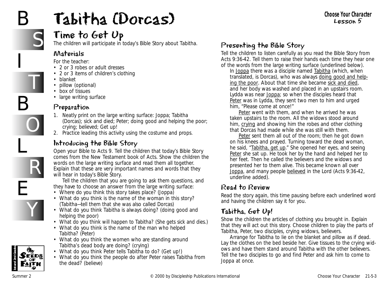## B

B

L

E

## Tabitha (Dorcas)



T

O

R

Y

### Time to Get Up

The children will participate in today's Bible Story about Tabitha.

#### Materials

*For the teacher:*

- 2 or 3 robes or adult dresses
- 2 or 3 items of children's clothing
- blanket
- pillow (optional)
- box of tissues
- large writing surface

### Preparation

- 1. Neatly print on the large writing surface: Joppa; Tabitha (Dorcas); sick and died; Peter; doing good and helping the poor; crying; believed; Get up!
- 2. Practice leading this activity using the costume and props.

### Introducing the Bible Story

Open your Bible to Acts 9. Tell the children that today's Bible Story comes from the New Testament book of Acts. Show the children the words on the large writing surface and read them all together. Explain that these are very important names and words that they will hear in today's Bible Story.

Tell the children that you are going to ask them questions, and they have to choose an answer from the large writing surface:

- *Where do you think this story takes place?* (Joppa)
- *What do you think is the name of the woman in this story?* (Tabitha—tell them that she was also called Dorcas)
- *What do you think Tabitha is always doing?* (doing good and helping the poor)
- *What do you think will happen to Tabitha?* (She gets sick and dies.)
- *What do you think is the name of the man who helped Tabitha?* (Peter)
- *What do you think the women who are standing around Tabitha's dead body are doing?* (crying)
- *What do you think Peter tells Tabitha to do?* (Get up!)
- *What do you think the people do after Peter raises Tabitha from the dead?* (believe)

### Presenting the Bible Story

Tell the children to listen carefully as you read the Bible Story from Acts 9:36-42. Tell them to raise their hands each time they hear one of the words from the large writing surface (underlined below).

*In Joppa there was a disciple named Tabitha (which, when translated, is Dorcas), who was always doing good and helping the poor. About that time she became sick and died, and her body was washed and placed in an upstairs room. Lydda was near Joppa; so when the disciples heard that Peter was in Lydda, they sent two men to him and urged him, "Please come at once!"* 

*Peter went with them, and when he arrived he was taken upstairs to the room. All the widows stood around him, crying and showing him the robes and other clothing that Dorcas had made while she was still with them.* 

*Peter sent them all out of the room; then he got down on his knees and prayed. Turning toward the dead woman, he said, "Tabitha, get up." She opened her eyes, and seeing Peter she sat up. He took her by the hand and helped her to her feet. Then he called the believers and the widows and presented her to them alive. This became known all over Joppa, and many people believed in the Lord* (Acts 9:36-42, underline added*).*

### Read to Review

Read the story again, this time pausing before each underlined word and having the children say it for you.

### Tabitha, Get Up!

Show the children the articles of clothing you brought in. Explain that they will act out this story. Choose children to play the parts of Tabitha, Peter, two disciples, crying widows, believers.

Arrange for Tabitha to lie on the blanket and pillow as if dead. Lay the clothes on the bed beside her. Give tissues to the crying widows and have them stand around Tabitha with the other believers. Tell the two disciples to go and find Peter and ask him to come to Joppa at once.

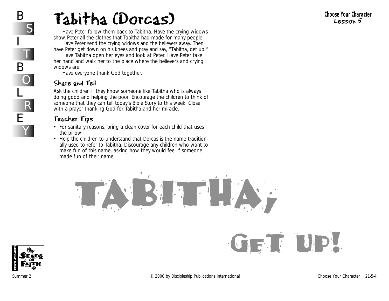Have Peter follow them back to Tabitha. Have the crying widows show Peter all the clothes that Tabitha had made for many people. Have Peter send the crying widows and the believers away. Then

have Peter get down on his knees and pray and say, "Tabitha, get up!"

Have Tabitha open her eyes and look at Peter. Have Peter take her hand and walk her to the place where the believers and crying widows are.

Have everyone thank God together.

### Share and Tell

Ask the children if they know someone like Tabitha who is always doing good and helping the poor. Encourage the children to think of someone that they can tell today's Bible Story to this week. Close with a prayer thanking God for Tabitha and her miracle.

### Teacher Tips

- For sanitary reasons, bring a clean cover for each child that uses the pillow.
- Help the children to understand that Dorcas is the name traditionally used to refer to Tabitha. Discourage any children who want to make fun of this name, asking how they would feel if someone made fun of their name.



**1st and 2nd Grades**

get up!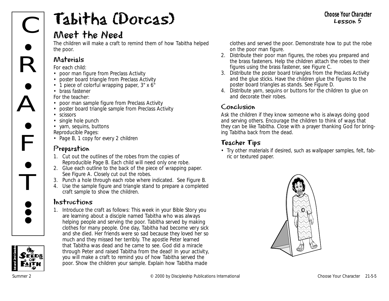

### Meet the Need

The children will make a craft to remind them of how Tabitha helped the poor.

### Materials

*For each child:*

- poor man figure from Preclass Activity
- poster board triangle from Preclass Activity
- 1 piece of colorful wrapping paper, 3" x 6"
- brass fastener
- *For the teacher:*
- poor man sample figure from Preclass Activity
- poster board triangle sample from Preclass Activity
- scissors
- single hole punch
- yarn, sequins, buttons *Reproducible Pages:*
- Page B, 1 copy for every 2 children

### Preparation

- 1. Cut out the outlines of the robes from the copies of Reproducible Page B. Each child will need only one robe.
- 2. Glue each outline to the back of the piece of wrapping paper. See Figure A. Closely cut out the robes.
- 3. Punch a hole through each robe where indicated. See Figure B.
- 4. Use the sample figure and triangle stand to prepare a completed craft sample to show the children.

### Instructions

1. Introduce the craft as follows: *This week in your Bible Story you are learning about a disciple named Tabitha who was always helping people and serving the poor. Tabitha served by making clothes for many people. One day, Tabitha had become very sick and she died. Her friends were so sad because they loved her so much and they missed her terribly. The apostle Peter learned that Tabitha was dead and he came to see. God did a miracle through Peter and raised Tabitha from the dead! In your activity, you will make a craft to remind you of how Tabitha served the poor.* Show the children your sample. Explain how Tabitha made

clothes and served the poor. Demonstrate how to put the robe on the poor man figure.

- 2. Distribute their poor man figures, the robes you prepared and the brass fasteners. Help the children attach the robes to their figures using the brass fastener, see Figure C.
- 3. Distribute the poster board triangles from the Preclass Activity and the glue sticks. Have the children glue the figures to the poster board triangles as stands. See Figure D.
- 4. Distribute yarn, sequins or buttons for the children to glue on and decorate their robes.

### Conclusion

Ask the children if they know someone who is always doing good and serving others. Encourage the children to think of ways that they can be like Tabitha. Close with a prayer thanking God for bringing Tabitha back from the dead.

### Teacher Tips

• Try other materials if desired, such as wallpaper samples, felt, fabric or textured paper.



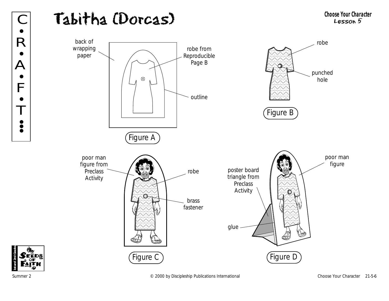### Tabitha (Dorcas) C Tabitha (Dorcas) Choose Your Character



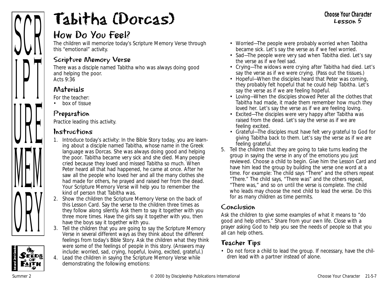

### How Do You Feel?

The children will memorize today's Scripture Memory Verse through this "emotional" activity.

### Scripture Memory Verse

There was a disciple named Tabitha who was always doing good and helping the poor. *Acts 9:36*

### Materials

*For the teacher:*

• box of tissue

### Preparation

Practice leading this activity.

### Instructions

- 1. Introduce today's activity: *In the Bible Story today, you are learning about a disciple named Tabitha, whose name in the Greek language was Dorcas. She was always doing good and helping the poor. Tabitha became very sick and she died. Many people cried because they loved and missed Tabitha so much. When Peter heard all that had happened, he came at once. After he saw all the people who loved her and all the many clothes she had made for others, he prayed and raised her from the dead. Your Scripture Memory Verse will help you to remember the kind of person that Tabitha was*.
- 2. Show the children the Scripture Memory Verse on the back of this Lesson Card. Say the verse to the children three times as they follow along silently. Ask them to say it together with you three more times. Have the girls say it together with you, then have the boys say it together with you.
- 3. Tell the children that you are going to say the Scripture Memory Verse in several different ways as they think about the different feelings from today's Bible Story. Ask the children what they think were some of the feelings of people in this story. (Answers may include: worried, sad, crying, hopeful, loving, excited, grateful.)
- 4. Lead the children in saying the Scripture Memory Verse while demonstrating the following emotions:
- *Worried—The people were probably worried when Tabitha became sick. Let's say the verse as if we feel worried.*
- *Sad—The people were very sad when Tabitha died. Let's say the verse as if we feel sad.*
- *Crying—The widows were crying after Tabitha had died. Let's say the verse as if we were crying.* (Pass out the tissues.)
- *Hopeful—When the disciples heard that Peter was coming, they probably felt hopeful that he could help Tabitha. Let's say the verse as if we are feeling hopeful.*
- *Loving—When the disciples showed Peter all the clothes that Tabitha had made, it made them remember how much they loved her. Let's say the verse as if we are feeling loving.*
- *Excited—The disciples were very happy after Tabitha was raised from the dead. Let's say the verse as if we are feeling excited.*
- *Grateful—The disciples must have felt very grateful to God for giving Tabitha back to them. Let's say the verse as if we are feeling grateful.*
- 5. Tell the children that they are going to take turns leading the group in saying the verse in any of the emotions you just reviewed. Choose a child to begin. Give him the Lesson Card and have him lead the group by building the verse one word at a time. For example: The child says "There" and the others repeat "There." The child says, "There was" and the others repeat, "There was," and so on until the verse is complete. The child who leads may choose the next child to lead the verse. Do this for as many children as time permits.

### Conclusion

Ask the children to give some examples of what it means to "do good and help others." Share from your own life. Close with a prayer asking God to help you see the needs of people so that you all can help others.

### Teacher Tips

• Do not force a child to lead the group. If necessary, have the children lead with a partner instead of alone.



#### **Choose Your Character** Lesson 5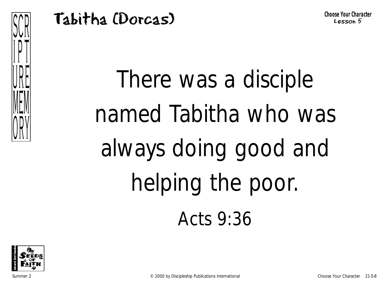

There was a disciple named Tabitha who was always doing good and helping the poor. Acts 9:36

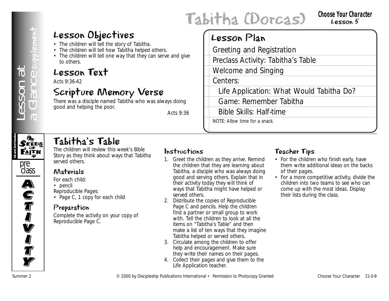## Lesson Objectives

- The children will tell the story of Tabitha.
- The children will tell how Tabitha helped others.
- The children will tell one way that they can serve and give to others.

### Lesson Text

Acts 9:36-42

### Scripture Memory Verse

There was a disciple named Tabitha who was always doing good and helping the poor.

*Acts 9:36*

## Tabitha (Dorcas)

### Lesson Plan

**Example 2**<br>  $\frac{1}{2}$ <br>  $\frac{1}{2}$ <br>  $\frac{1}{2}$ <br>  $\frac{1}{2}$ <br>  $\frac{1}{2}$ <br>  $\frac{1}{2}$ <br>  $\frac{1}{2}$ <br>  $\frac{1}{2}$ <br>  $\frac{1}{2}$ <br>  $\frac{1}{2}$ <br>  $\frac{1}{2}$ <br>  $\frac{1}{2}$ <br>  $\frac{1}{2}$ <br>  $\frac{1}{2}$ <br>  $\frac{1}{2}$ <br>  $\frac{1}{2}$ <br>  $\frac{1}{2}$ <br>  $\frac{1}{2}$ <br>  $\frac{1}{2}$ <br> Greeting and Registration Preclass Activity: Tabitha's Table Welcome and Singing Centers: Life Application: What Would Tabitha Do? Game: Remember Tabitha Bible Skills: Half-time NOTE: Allow time for a snack.

# **1st and 2nd Grades**

### Tabitha's Table

The children will review this week's Bible Story as they think about ways that Tabitha served others.

### pre class  $\overline{\mathbf{A}}$ A)<br>C **S**<br>T I<br>I **V I J**<br>T **Ty**

### Materials

*For each child:*

• pencil

*Reproducible Pages:*

• Page C, 1 copy for each child

### Preparation

Complete the activity on your copy of Reproducible Page C.

### Instructions

- 1. Greet the children as they arrive. Remind the children that they are learning about Tabitha, a disciple who was always doing good and serving others. Explain that in their activity today they will think of ways that Tabitha might have helped or served others.
- 2. Distribute the copies of Reproducible Page C and pencils. Help the children find a partner or small group to work with. Tell the children to look at all the items on "Tabitha's Table" and then make a list of ten ways that they imagine Tabitha helped or served others.
- 3. Circulate among the children to offer help and encouragement. Make sure they write their names on their pages.
- 4. Collect their pages and give them to the Life Application teacher.

### Teacher Tips

- For the children who finish early, have them write additional ideas on the backs of their pages.
- For a more competitive activity, divide the children into two teams to see who can come up with the most ideas. Display their lists during the class.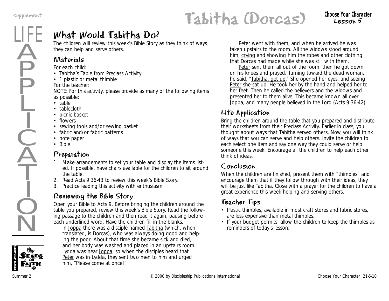LIFE

Ä

**P** 

P

Ļ

I

 $\frac{1}{2}$ 

 $\widecheck{\mathrm{A}}$ 

T

I

 $\dot{Q}$ 

 $\overline{\textsf{N}}$ 

## supplement **Cabitha (Dorcas)** choose Your Character

Lesson 5

### What Would Tabitha Do?

The children will review this week's Bible Story as they think of ways they can help and serve others.

### Materials

*For each child:*

- Tabitha's Table from Preclass Activity
- 1 plastic or metal thimble

*For the teacher:*

NOTE: For this activity, please provide as many of the following items as possible:

- table
- tablecloth
- picnic basket
- flowers
- sewing tools and/or sewing basket
- fabric and/or fabric patterns
- note paper
- Bible

### Preparation

- 1. Make arrangements to set your table and display the items listed. If possible, have chairs available for the children to sit around the table.
- 2. Read Acts 9:36-43 to review this week's Bible Story.
- 3. Practice leading this activity with enthusiasm.

### Reviewing the Bible Story

Open your Bible to Acts 9. Before bringing the children around the table you prepared, review this week's Bible Story. Read the following passage to the children and then read it again, pausing before each underlined word. Have the children fill in the blanks.

*In Joppa there was a disciple named Tabitha (which, when translated, is Dorcas), who was always doing good and helping the poor. About that time she became sick and died, and her body was washed and placed in an upstairs room. Lydda was near Joppa; so when the disciples heard that Peter was in Lydda, they sent two men to him and urged him, "Please come at once!"* 

*Peter went with them, and when he arrived he was taken upstairs to the room. All the widows stood around him, crying and showing him the robes and other clothing that Dorcas had made while she was still with them.* 

*Peter sent them all out of the room; then he got down on his knees and prayed. Turning toward the dead woman, he said, "Tabitha, get up." She opened her eyes, and seeing Peter she sat up. He took her by the hand and helped her to her feet. Then he called the believers and the widows and presented her to them alive. This became known all over Joppa, and many people believed in the Lord (Acts 9:36-42).*

### Life Application

Bring the children around the table that you prepared and distribute their worksheets from their Preclass Activity. *Earlier in class, you thought about ways that Tabitha served others. Now you will think of ways that you can serve and help others.* Invite the children to each select one item and say one way they could serve or help someone this week. Encourage all the children to help each other think of ideas.

#### Conclusion

When the children are finished, present them with "thimbles" and encourage them that if they follow through with their ideas, they will be just like Tabitha. Close with a prayer for the children to have a great experience this week helping and serving others.

### Teacher Tips

- Plastic thimbles, available in most craft stores and fabric stores, are less expensive than metal thimbles.
- If your budget permits, allow the children to keep the thimbles as reminders of today's lesson.

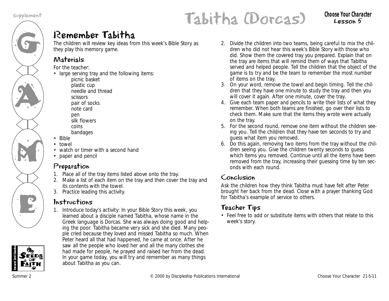

## supplement that (Dorcas) thessen 5

Lesson 5

### Remember Tabitha

The children will review key ideas from this week's Bible Story as they play this memory game.

### Materials

*For the teacher:*

- large serving tray and the following items: picnic basket plastic cup needle and thread scissors pair of socks note card pen silk flowers coins bandages
- Bible
- towel
- watch or timer with a second hand
- paper and pencil

### Preparation

- 1. Place all of the tray items listed above onto the tray.
- 2. Make a list of each item on the tray and then cover the tray and its contents with the towel.
- 3. Practice leading this activity.

### Instructions

1. Introduce today's activity: *In your Bible Story this week, you learned about a disciple named Tabitha, whose name in the Greek language is Dorcas. She was always doing good and helping the poor. Tabitha became very sick and she died. Many people cried because they loved and missed Tabitha so much. When Peter heard all that had happened, he came at once. After he saw all the people who loved her and all the many clothes she had made for people, he prayed and raised her from the dead. In your game today, you will try and remember as many things about Tabitha as you can.* 

- 2. Divide the children into two teams, being careful to mix the children who did not hear this week's Bible Story with those who did. Show them the covered tray you prepared. Explain that on the tray are items that will remind them of ways that Tabitha served and helped people. Tell the children that the object of the game is to try and be the team to remember the most number of items on the tray.
- 3. On your word, remove the towel and begin timing. Tell the children that they have one minute to study the tray and then you will cover it again. After one minute, cover the tray.
- 4. Give each team paper and pencils to write their lists of what they remember. When both teams are finished, go over their lists to check them. Make sure that the items they wrote were actually on the tray.
- 5. For the second round, remove one item without the children seeing you. Tell the children that they have ten seconds to try and guess what item you removed.
- 6. Do this again, removing two items from the tray without the children seeing you. Give the children twenty seconds to guess which items you removed. Continue until all the items have been removed from the tray, increasing their guessing time by ten seconds with each round.

### Conclusion

Ask the children how they think Tabitha must have felt after Peter brought her back from the dead. Close with a prayer thanking God for Tabitha's example of service to others.

### Teacher Tips

• Feel free to add or substitute items with others that relate to this week's story.

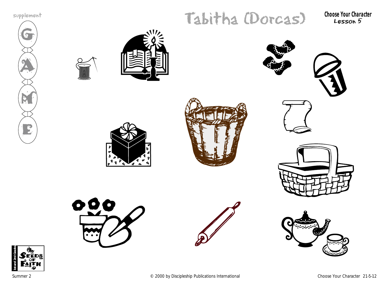





















Summer 2 Choose Your Character 21-5-12

supplement that (Dorcas) the conservation of the Choose Your Character Lesson 5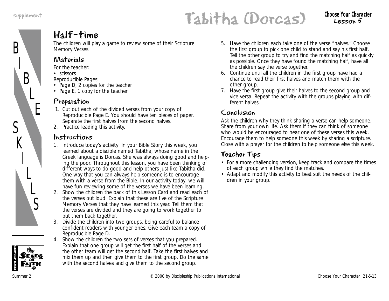B

S

 $K$ 

I

L

 $\overline{L}$ 

S

I

B

L

E

## supplement **Cabitha (Dorcas)** choose your unaracter

### Half-time

The children will play a game to review some of their Scripture Memory Verses.

### Materials

*For the teacher:*

• scissors

*Reproducible Pages:*

- Page D, 2 copies for the teacher
- Page E, 1 copy for the teacher

### Preparation

- 1. Cut out each of the divided verses from your copy of Reproducible Page E. You should have ten pieces of paper. Separate the first halves from the second halves.
- 2. Practice leading this activity.

### Instructions

- 1. Introduce today's activity: *In your Bible Story this week, you learned about a disciple named Tabitha, whose name in the Greek language is Dorcas. She was always doing good and helping the poor. Throughout this lesson, you have been thinking of different ways to do good and help others just like Tabitha did. One way that you can always help someone is to encourage them with a verse from the Bible. In our activity today, we will have fun reviewing some of the verses we have been learning.*
- 2. Show the children the back of this Lesson Card and read each of the verses out loud. Explain that these are five of the Scripture Memory Verses that they have learned this year. Tell them that the verses are divided and they are going to work together to put them back together.
- 3. Divide the children into two groups, being careful to balance confident readers with younger ones. Give each team a copy of Reproducible Page D.
- 4. Show the children the two sets of verses that you prepared. Explain that one group will get the first half of the verses and the other team will get the second half. Take the first halves and mix them up and then give them to the first group. Do the same with the second halves and give them to the second group.
- 5. Have the children each take one of the verse "halves." Choose the first group to pick one child to stand and say his first half. Tell the other group to try and find the matching half as quickly as possible. Once they have found the matching half, have all the children say the verse together.
- 6. Continue until all the children in the first group have had a chance to read their first halves and match them with the other group.
- 7. Have the first group give their halves to the second group and vice versa. Repeat the activity with the groups playing with different halves.

### Conclusion

Ask the children why they think sharing a verse can help someone. Share from your own life. Ask them if they can think of someone who would be encouraged to hear one of these verses this week. Encourage them to help someone this week by sharing a scripture. Close with a prayer for the children to help someone else this week.

### Teacher Tips

- For a more challenging version, keep track and compare the times of each group while they find the matches.
- Adapt and modify this activity to best suit the needs of the children in your group.

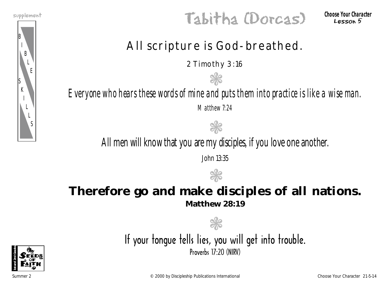

supplement that (Dorcas) thessen 5

Lesson 5

### All scripture is God-breathed.

2 Timothy 3:16

❃

*Everyone who hears these words of mine and puts them into practice is like a wise man. Matthew 7:24*

❃

All men will know that you are my disciples, if you love one another.

John 13:35



### **Therefore go and make disciples of all nations. Matthew 28:19**



If your tonque tells lies, you will get into trouble. Proverbs 17:20 (NIRV)

**SK** 

Summer 2 Choose Your Character 21-5-14 Choose Your Character 21-5-14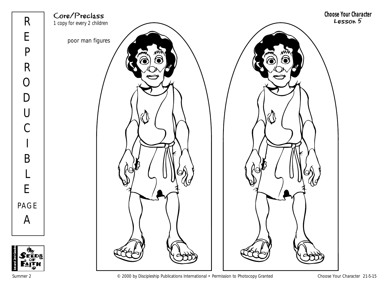

Summer 2 Choose Your Character 21-5-15

**1st and 2nd Grades**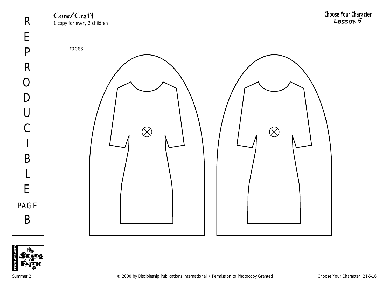Core/Craft 1 copy for every 2 children **Choose Your Character** Lesson 5





Summer 2 Choose Your Character 21-5-16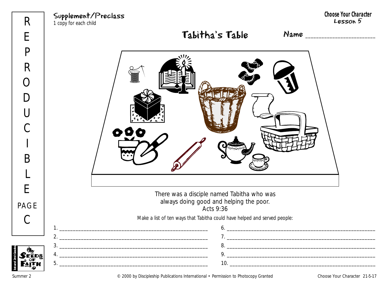

**1st and 2nd Grades**

Summer 2 © 2000 by Discipleship Publications International • Permission to Photocopy Granted Choose Your Character 21-5-17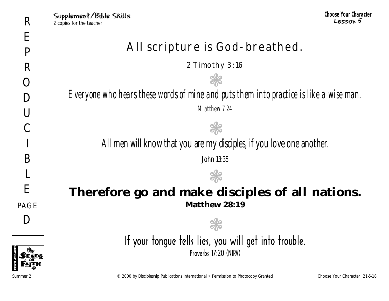### All scripture is God-breathed.

2 Timothy 3:16

❃

*Everyone who hears these words of mine and puts them into practice is like a wise man. Matthew 7:24*

All men will know that you are my disciples, if you love one another.

**NE** 

John 13:35

 $\mathbb{Q}$ 

### **Therefore go and make disciples of all nations. Matthew 28:19**

If your tongue tells lies, you will get into trouble.

❃

Proverbs 17.20 (NIRV)

**1st and 2nd Grades**

Summer 2 © 2000 by Discipleship Publications International • Permission to Photocopy Granted Choose Your Character 21-5-18